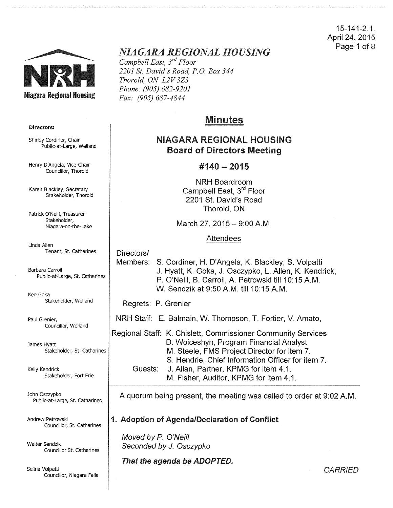15-141-2.1. April 24, 2015 Page 1 of 8



# *NIAGARA REGIONAL HOUSING*

*Campbell East, 3rd Floor 2201 St. David's Road, P.O. Box 344 Thorold, ON L2V 3Z3 Phone: (905) 682-9201 Fax: (905) 687-4844* 

# Minutes

# NIAGARA REGIONAl HOUSING Board of Directors Meeting

# #140- 2015

NRH Boardroom Campbell East, 3<sup>rd</sup> Floor 2201 St. David's Road Thorold, ON

March 27, 2015 - 9:00 A.M.

## Attendees

Directors/ Members: S. Cordiner, H. D'Angela, K. Blackley, S. Volpatti J. Hyatt, K. Goka, J. Osczypko, L. Allen, K. Kendrick, P. O'Neill, B. Carroll, A. Petrowski till 10:15 A.M. W. Sendzik at 9:50 A.M. till 10:15 A.M.

Regrets: P. Grenier

NRH Staff: E. Balmain, W. Thompson, T. Fortier, V. Amato,

Regional Staff: K. Chislett, Commissioner Community Services D. Woiceshyn, Program Financial Analyst M. Steele, FMS Project Director for item 7. S. Hendrie, Chief Information Officer for item 7. Guests: J. Allan, Partner, KPMG for item 4.1. M. Fisher, Auditor, KPMG for item 4.1.

A quorum being present, the meeting was called to order at 9:02A.M.

## 1. Adoption of Agenda/Declaration of Conflict

Moved by P. O'Neill Seconded by *J.* Osczypko

That the agenda be ADOPTED.

Directors:

Shirley Cordiner, Chair Public-at-Large, Weiland

Henry D'Angela, Vice-Chair Councillor, Thorold

Karen Blackley, Secretary Stakeholder, Thorold

Patrick O'Neill, Treasurer Stakeholder, Niagara-on-the-Lake

Linda Allen Tenant, St. Catharines

Barbara Carroll Public-at-Large, St. Catharines

Ken Goka Stakeholder, Weiland

Paul Grenier, Councillor, Weiland

James Hyatt Stakeholder, St. Catharines

Kelly Kendrick Stakeholder, Fort Erie

John Osczypko Public-at-Large, St. Catharines

Andrew Petrowski Councillor, St. Catharines

Walter Sendzik Councillor St. Catharines

Selina Volpatti Councillor, Niagara Falls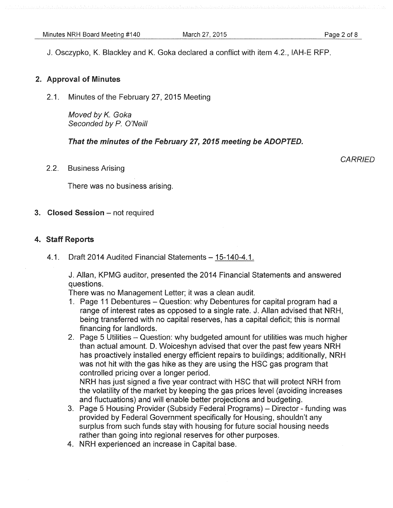J. Osczypko, K. Blackley and K. Goka declared a conflict with item 4.2., IAH-E RFP.

## 2. Approval of Minutes

2.1. Minutes of the February 27, 2015 Meeting

Moved by *K.* Goka Seconded by *P.* O'Neill

That the minutes of the February 27, 2015 meeting be ADOPTED.

2.2. Business Arising

**CARRIED** 

There was no business arising.

## 3. Closed Session - not required

## 4. Staff Reports

4.1. Draft 2014 Audited Financial Statements- 15-140-4.1.

J. Allan, KPMG auditor, presented the 2014 Financial Statements and answered questions.

There was no Management Letter; it was a clean audit.

- 1. Page 11 Debentures- Question: why Debentures for capital program had a range of interest rates as opposed to a single rate. J. Allan advised that NRH, being transferred with no capital reserves, has a capital deficit; this is normal financing for landlords.
- 2. Page 5 Utilities Question: why budgeted amount for utilities was much higher than actual amount. D. Woiceshyn advised that over the past few years NRH has proactively installed energy efficient repairs to buildings; additionally, NRH was not hit with the gas hike as they are using the HSC gas program that controlled pricing over a longer period.

NRH has just signed a five year contract with HSC that will protect NRH from the volatility of the market by keeping the gas prices level (avoiding increases and fluctuations) and will enable better projections and budgeting.

- 3. Page 5 Housing Provider (Subsidy Federal Programs) Director funding was provided by Federal Government specifically for Housing, shouldn't any surplus from such funds stay with housing for future social housing needs rather than going into regional reserves for other purposes.
- 4. NRH experienced an increase in Capital base.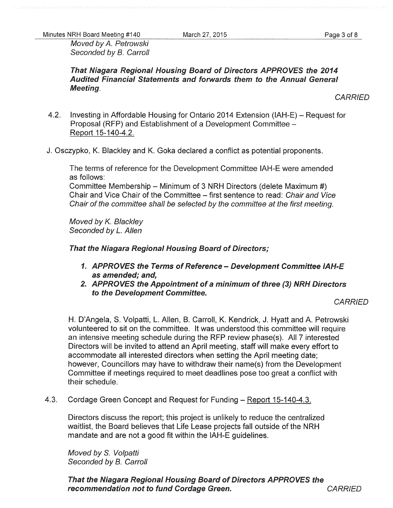Minutes NRH Board Meeting #140 March 27, 2015 March 27, 2015

Moved by A. Petrowski Seconded by B. Carroll

That Niagara Regional Housing Board of Directors APPROVES the 2014 Audited Financial Statements and forwards them to the Annual General Meeting.

**CARRIED** 

- 4.2. Investing in Affordable Housing for Ontario 2014 Extension (IAH-E) Request for Proposal (RFP) and Establishment of a Development Committee -Report 15-140-4.2.
- J. Osczypko, K. Blackley and K. Goka declared a conflict as potential proponents.

The terms of reference for the Development Committee IAH-E were amended as follows:

Committee Membership- Minimum of 3 NRH Directors (delete Maximum#) Chair and Vice Chair of the Committee- first sentence to read: Chair and Vice Chair of the committee shall be selected by the committee at the first meeting.

Moved by *K.* Blackley Seconded by L. Allen

That the Niagara Regional Housing Board of Directors;

- 1. APPROVES the Terms of Reference- Development Committee IAH-E as amended; and,
- 2. APPROVES the Appointment of a minimum of three (3) NRH Directors to the Development Committee.

**CARRIED** 

H. D'Angela, S. Volpatti, L. Allen, B. Carroll, K. Kendrick, J. Hyatt and A. Petrowski volunteered to sit on the committee. It was understood this committee will require an intensive meeting schedule during the RFP review phase(s). All 7 interested Directors will be invited to attend an April meeting, staff will make every effort to accommodate all interested directors when setting the April meeting date; however, Councillors may have to withdraw their name(s) from the Development Committee if meetings required to meet deadlines pose too great a conflict with their schedule.

4.3. Cordage Green Concept and Request for Funding- Report 15-140-4.3.

Directors discuss the report; this project is unlikely to reduce the centralized waitlist, the Board believes that Life Lease projects fall outside of the NRH mandate and are not a good fit within the IAH-E guidelines.

Moved by S. Volpatti Seconded by B. Carroll

That the Niagara Regional Housing Board of Directors APPROVES the recommendation not to fund Cordage Green. The CARRIED CARRIED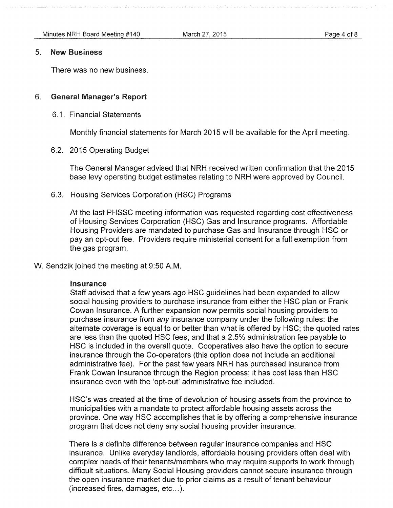#### 5. New Business

There was no new business.

## 6. General Manager's Report

6.1. Financial Statements

Monthly financial statements for March 2015 will be available for the April meeting.

6.2. 2015 Operating Budget

The General Manager advised that NRH received written confirmation that the 2015 base levy operating budget estimates relating to NRH were approved by Council.

6.3. Housing Services Corporation (HSC) Programs

At the last PHSSC meeting information was requested regarding cost effectiveness of Housing Services Corporation (HSC) Gas and Insurance programs. Affordable Housing Providers are mandated to purchase Gas and Insurance through HSC or pay an opt-out fee. Providers require ministerial consent for a full exemption from the gas program.

W. Sendzik joined the meeting at 9:50 A.M.

### insurance

Staff advised that a few years ago HSC guidelines had been expanded to allow social housing providers to purchase insurance from either the HSC plan or Frank Cowan Insurance. A further expansion now permits social housing providers to purchase insurance from any insurance company under the following rules: the alternate coverage is equal to or better than what is offered by HSC; the quoted rates are less than the quoted HSC fees; and that a 2.5% administration fee payable to HSC is included in the overall quote. Cooperatives also have the option to secure insurance through the Co-operators (this option does not include an additional administrative fee). For the past few years NRH has purchased insurance from Frank Cowan Insurance through the Region process; it has cost less than HSC insurance even with the 'opt-out' administrative fee included.

HSC's was created at the time of devolution of housing assets from the province to municipalities with a mandate to protect affordable housing assets across the province. One way HSC accomplishes that is by offering a comprehensive insurance program that does not deny any social housing provider insurance.

There is a definite difference between regular insurance companies and HSC insurance. Unlike everyday landlords, affordable housing providers often deal with complex needs of their tenants/members who may require supports to work through difficult situations. Many Social Housing providers cannot secure insurance through the open insurance market due to prior claims as a result of tenant behaviour  $(increased$  fires, damages, etc... $).$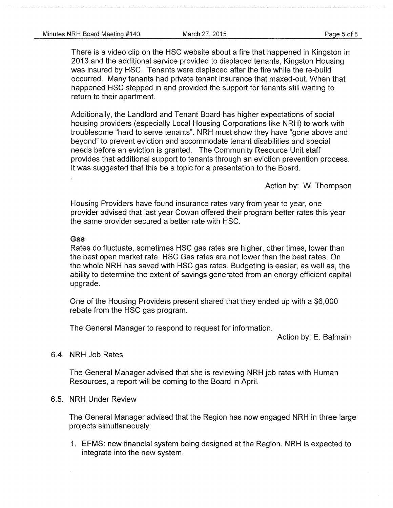There is a video clip on the HSC website about a fire that happened in Kingston in 2013 and the additional service provided to displaced tenants, Kingston Housing was insured by HSC. Tenants were displaced after the fire while the re-build occurred. Many tenants had private tenant insurance that maxed-out. When that happened HSC stepped in and provided the support for tenants still waiting to return to their apartment.

Additionally, the Landlord and Tenant Board has higher expectations of social housing providers (especially Local Housing Corporations like NRH) to work with troublesome "hard to serve tenants". NRH must show they have "gone above and beyond" to prevent eviction and accommodate tenant disabilities and special needs before an eviction is granted. The Community Resource Unit staff provides that additional support to tenants through an eviction prevention process. It was suggested that this be a topic for a presentation to the Board.

Action by: W. Thompson

Housing Providers have found insurance rates vary from year to year, one provider advised that last year Cowan offered their program better rates this year the same provider secured a better rate with HSC.

#### Gas

Rates do fluctuate, sometimes HSC gas rates are higher, other times, lower than the best open market rate. HSC Gas rates are not lower than the best rates. On the whole NRH has saved with HSC gas rates. Budgeting is easier, as well as, the ability to determine the extent of savings generated from an energy efficient capital upgrade.

One of the Housing Providers present shared that they ended up with a \$6,000 rebate from the HSC gas program.

The General Manager to respond to request for information.

Action by: E. Balmain

## 6.4. NRH Job Rates

The General Manager advised that she is reviewing NRH job rates with Human Resources, a report will be coming to the Board in April.

## 6.5. NRH Under Review

The General Manager advised that the Region has now engaged NRH in three large projects simultaneously:

1. EFMS: new financial system being designed at the Region. NRH is expected to integrate into the new system.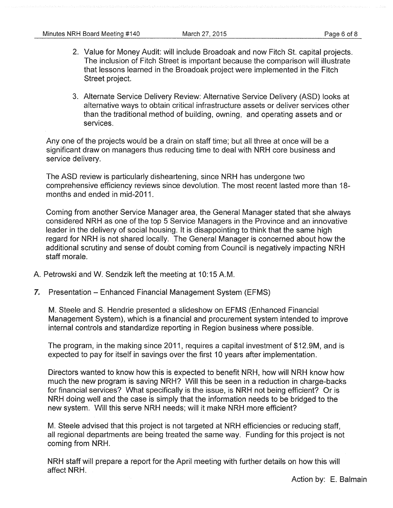- 2. Value for Money Audit: will include Broadoak and now Fitch St. capital projects. The inclusion of Fitch Street is important because the comparison will illustrate that lessons learned in the Broadoak project were implemented in the Fitch Street project.
- 3. Alternate Service Delivery Review: Alternative Service Delivery (ASD) looks at alternative ways to obtain critical infrastructure assets or deliver services other than the traditional method of building, owning, and operating assets and or services.

Any one of the projects would be a drain on staff time; but all three at once will be a significant draw on managers thus reducing time to deal with NRH core business and service delivery.

The ASD review is particularly disheartening, since NRH has undergone two comprehensive efficiency reviews since devolution. The most recent lasted more than 18 months and ended in mid-2011.

Coming from another Service Manager area, the General Manager stated that she always considered NRH as one of the top 5 Service Managers in the Province and an innovative leader in the delivery of social housing. It is disappointing to think that the same high regard for NRH is not shared locally. The General Manager is concerned about how the additional scrutiny and sense of doubt coming from Council is negatively impacting NRH staff morale.

- A. Petrowski and W. Sendzik left the meeting at 10:15 A.M.
- *7.* Presentation Enhanced Financial Management System (EFMS)

M. Steele and S. Hendrie presented a slideshow on EFMS (Enhanced Financial Management System), which is a financial and procurement system intended to improve internal controls and standardize reporting in Region business where possible.

The program, in the making since 2011, requires a capital investment of \$12.9M, and is expected to pay for itself in savings over the first 10 years after implementation.

Directors wanted to know how this is expected to benefit NRH, how will NRH know how much the new program is saving NRH? Will this be seen in a reduction in charge-backs for financial services? What specifically is the issue, is NRH not being efficient? Or is NRH doing well and the case is simply that the information needs to be bridged to the new system. Will this serve NRH needs; will it make NRH more efficient?

M. Steele advised that this project is not targeted at NRH efficiencies or reducing staff, all regional departments are being treated the same way. Funding for this project is not coming from NRH.

NRH staff will prepare a report for the April meeting with further details on how this will affect NRH.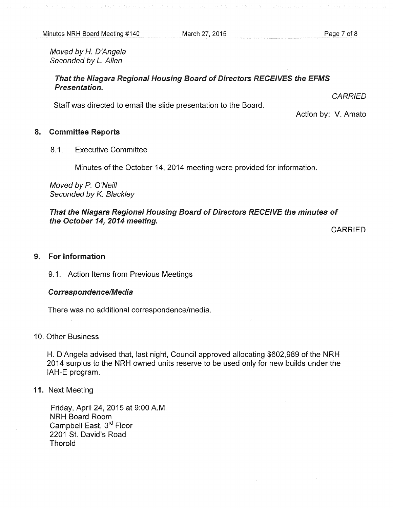Moved by *H.* D'Ange/a Seconded by *L.* Allen

## That the Niagara Regional Housing Board of Directors RECEIVES the EFMS Presentation.

Staff was directed to email the slide presentation to the Board.

**CARRIED** 

Action by: V. Amato

## 8. Committee Reports

8.1. Executive Committee

Minutes of the October 14, 2014 meeting were provided for information.

Moved by P. O'Neill Seconded by K. Blackley

That the Niagara Regional Housing Board of Directors RECEIVE the minutes of the October 14, 2014 meeting.

CARRIED

## 9. For Information

9.1. Action Items from Previous Meetings

### Correspondence/Media

There was no additional correspondence/media.

## 10. Other Business

H. D'Angela advised that, last night, Council approved allocating \$602,989 of the NRH 2014 surplus to the NRH owned units reserve to be used only for new builds under the IAH-E program.

## 11. Next Meeting

Friday, April 24, 2015 at 9:00A.M. NRH Board Room Campbell East, 3<sup>rd</sup> Floor 2201 St. David's Road Thorold